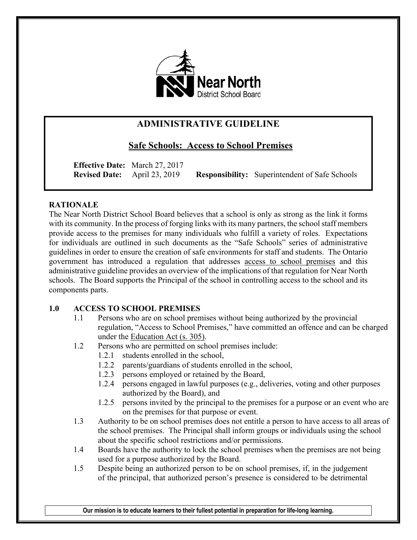

# **ADMINISTRATIVE GUIDELINE**

# **Safe Schools: Access to School Premises**

**Effective Date:** March 27, 2017

**Revised Date:** April 23, 2019 **Responsibility:** Superintendent of Safe Schools

## **RATIONALE**

The Near North District School Board believes that a school is only as strong as the link it forms with its community. In the process of forging links with its many partners, the school staff members provide access to the premises for many individuals who fulfill a variety of roles. Expectations for individuals are outlined in such documents as the "Safe Schools" series of administrative guidelines in order to ensure the creation of safe environments for staff and students. The Ontario government has introduced a regulation that addresses access to school premises and this administrative guideline provides an overview of the implications of that regulation for Near North schools. The Board supports the Principal of the school in controlling access to the school and its components parts.

## **1.0 ACCESS TO SCHOOL PREMISES**

- 1.1 Persons who are on school premises without being authorized by the provincial regulation, "Access to School Premises," have committed an offence and can be charged under the Education Act (s. 305).
- 1.2 Persons who are permitted on school premises include:
	- 1.2.1 students enrolled in the school,
	- 1.2.2 parents/guardians of students enrolled in the school,
	- 1.2.3 persons employed or retained by the Board,
	- 1.2.4 persons engaged in lawful purposes (e.g., deliveries, voting and other purposes authorized by the Board), and
	- 1.2.5 persons invited by the principal to the premises for a purpose or an event who are on the premises for that purpose or event.
- 1.3 Authority to be on school premises does not entitle a person to have access to all areas of the school premises. The Principal shall inform groups or individuals using the school about the specific school restrictions and/or permissions.
- 1.4 Boards have the authority to lock the school premises when the premises are not being used for a purpose authorized by the Board.
- 1.5 Despite being an authorized person to be on school premises, if, in the judgement of the principal, that authorized person's presence is considered to be detrimental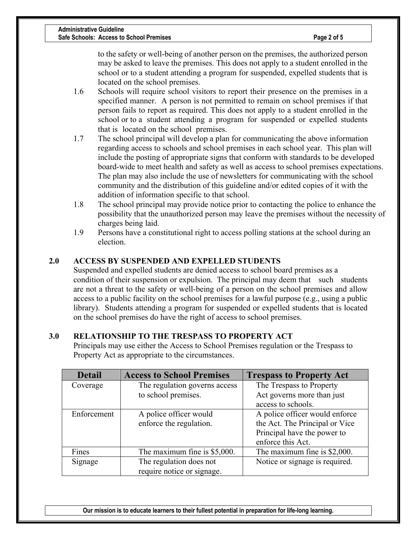to the safety or well-being of another person on the premises, the authorized person may be asked to leave the premises. This does not apply to a student enrolled in the school or to a student attending a program for suspended, expelled students that is located on the school premises.

- 1.6 Schools will require school visitors to report their presence on the premises in a specified manner. A person is not permitted to remain on school premises if that person fails to report as required. This does not apply to a student enrolled in the school or to a student attending a program for suspended or expelled students that is located on the school premises.
- 1.7 The school principal will develop a plan for communicating the above information regarding access to schools and school premises in each school year. This plan will include the posting of appropriate signs that conform with standards to be developed board-wide to meet health and safety as well as access to school premises expectations. The plan may also include the use of newsletters for communicating with the school community and the distribution of this guideline and/or edited copies of it with the addition of information specific to that school.
- 1.8 The school principal may provide notice prior to contacting the police to enhance the possibility that the unauthorized person may leave the premises without the necessity of charges being laid.
- 1.9 Persons have a constitutional right to access polling stations at the school during an election.

# **2.0 ACCESS BY SUSPENDED AND EXPELLED STUDENTS**

Suspended and expelled students are denied access to school board premises as a condition of their suspension or expulsion. The principal may deem that such students are not a threat to the safety or well-being of a person on the school premises and allow access to a public facility on the school premises for a lawful purpose (e.g., using a public library). Students attending a program for suspended or expelled students that is located on the school premises do have the right of access to school premises.

## **3.0 RELATIONSHIP TO THE TRESPASS TO PROPERTY ACT**

Principals may use either the Access to School Premises regulation or the Trespass to Property Act as appropriate to the circumstances.

| <b>Detail</b> | <b>Access to School Premises</b> | <b>Trespass to Property Act</b> |
|---------------|----------------------------------|---------------------------------|
| Coverage      | The regulation governs access    | The Trespass to Property        |
|               | to school premises.              | Act governs more than just      |
|               |                                  | access to schools.              |
| Enforcement   | A police officer would           | A police officer would enforce  |
|               | enforce the regulation.          | the Act. The Principal or Vice  |
|               |                                  | Principal have the power to     |
|               |                                  | enforce this Act.               |
| Fines         | The maximum fine is \$5,000.     | The maximum fine is \$2,000.    |
| Signage       | The regulation does not          | Notice or signage is required.  |
|               | require notice or signage.       |                                 |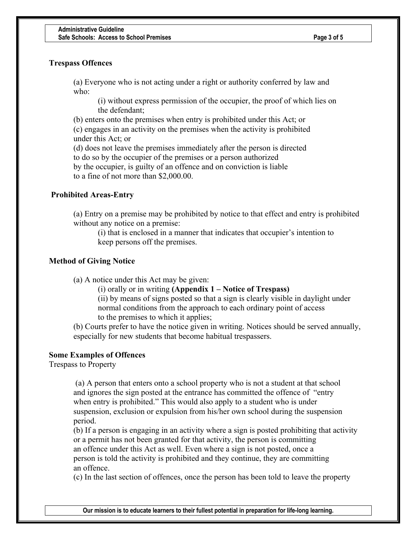### **Trespass Offences**

(a) Everyone who is not acting under a right or authority conferred by law and who:

(i) without express permission of the occupier, the proof of which lies on the defendant;

(b) enters onto the premises when entry is prohibited under this Act; or (c) engages in an activity on the premises when the activity is prohibited under this Act; or

(d) does not leave the premises immediately after the person is directed to do so by the occupier of the premises or a person authorized by the occupier, is guilty of an offence and on conviction is liable to a fine of not more than \$2,000.00.

#### **Prohibited Areas-Entry**

(a) Entry on a premise may be prohibited by notice to that effect and entry is prohibited without any notice on a premise:

(i) that is enclosed in a manner that indicates that occupier's intention to keep persons off the premises.

#### **Method of Giving Notice**

(a) A notice under this Act may be given:

(i) orally or in writing **(Appendix 1 – Notice of Trespass)**

(ii) by means of signs posted so that a sign is clearly visible in daylight under normal conditions from the approach to each ordinary point of access to the premises to which it applies;

(b) Courts prefer to have the notice given in writing. Notices should be served annually, especially for new students that become habitual trespassers.

#### **Some Examples of Offences**

Trespass to Property

(a) A person that enters onto a school property who is not a student at that school and ignores the sign posted at the entrance has committed the offence of "entry when entry is prohibited." This would also apply to a student who is under suspension, exclusion or expulsion from his/her own school during the suspension period.

(b) If a person is engaging in an activity where a sign is posted prohibiting that activity or a permit has not been granted for that activity, the person is committing an offence under this Act as well. Even where a sign is not posted, once a person is told the activity is prohibited and they continue, they are committing an offence.

(c) In the last section of offences, once the person has been told to leave the property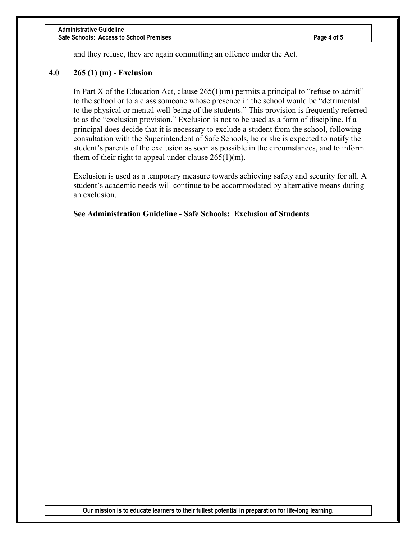#### **Administrative Guideline Safe Schools: Access to School Premises Access 10 School Premises Page 4 of 5**

and they refuse, they are again committing an offence under the Act.

#### **4.0 265 (1) (m) - Exclusion**

In Part X of the Education Act, clause  $265(1)(m)$  permits a principal to "refuse to admit" to the school or to a class someone whose presence in the school would be "detrimental to the physical or mental well-being of the students." This provision is frequently referred to as the "exclusion provision." Exclusion is not to be used as a form of discipline. If a principal does decide that it is necessary to exclude a student from the school, following consultation with the Superintendent of Safe Schools, he or she is expected to notify the student's parents of the exclusion as soon as possible in the circumstances, and to inform them of their right to appeal under clause  $265(1)(m)$ .

Exclusion is used as a temporary measure towards achieving safety and security for all. A student's academic needs will continue to be accommodated by alternative means during an exclusion.

**See Administration Guideline - Safe Schools: Exclusion of Students**